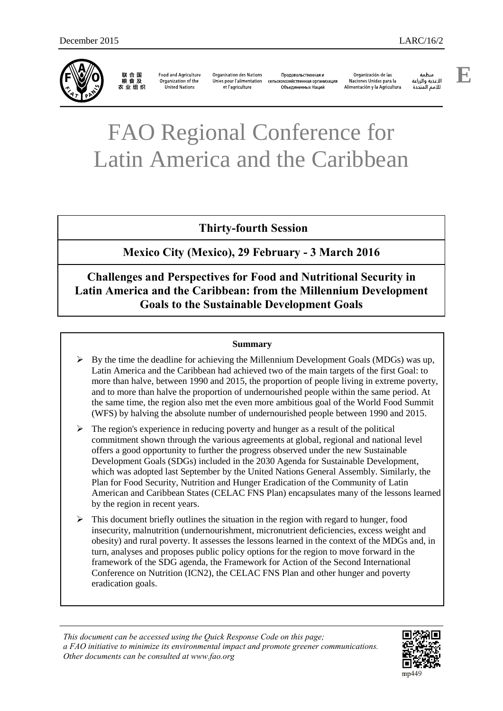

联合国<br>粮食及 农业组织

**Food and Agriculture** Organization of the United Nations

**Organisation des Nations** et l'agriculture

Продовольственная и Unies pour l'alimentation сельскохозяйственная организация Объединенных Наций

Organización de las Naciones Unidas para la Alimentación y la Agricultura

änhin الأغذية والزراعة للأمم المتحدة

# FAO Regional Conference for Latin America and the Caribbean

# **Thirty-fourth Session**

# **Mexico City (Mexico), 29 February - 3 March 2016**

# **Challenges and Perspectives for Food and Nutritional Security in Latin America and the Caribbean: from the Millennium Development Goals to the Sustainable Development Goals**

#### **Summary**

- $\triangleright$  By the time the deadline for achieving the Millennium Development Goals (MDGs) was up, Latin America and the Caribbean had achieved two of the main targets of the first Goal: to more than halve, between 1990 and 2015, the proportion of people living in extreme poverty, and to more than halve the proportion of undernourished people within the same period. At the same time, the region also met the even more ambitious goal of the World Food Summit (WFS) by halving the absolute number of undernourished people between 1990 and 2015.
- $\triangleright$  The region's experience in reducing poverty and hunger as a result of the political commitment shown through the various agreements at global, regional and national level offers a good opportunity to further the progress observed under the new Sustainable Development Goals (SDGs) included in the 2030 Agenda for Sustainable Development, which was adopted last September by the United Nations General Assembly. Similarly, the Plan for Food Security, Nutrition and Hunger Eradication of the Community of Latin American and Caribbean States (CELAC FNS Plan) encapsulates many of the lessons learned by the region in recent years.
- $\triangleright$  This document briefly outlines the situation in the region with regard to hunger, food insecurity, malnutrition (undernourishment, micronutrient deficiencies, excess weight and obesity) and rural poverty. It assesses the lessons learned in the context of the MDGs and, in turn, analyses and proposes public policy options for the region to move forward in the framework of the SDG agenda, the Framework for Action of the Second International Conference on Nutrition (ICN2), the CELAC FNS Plan and other hunger and poverty eradication goals.

*This document can be accessed using the Quick Response Code on this page; a FAO initiative to minimize its environmental impact and promote greener communications. Other documents can be consulted at www.fao.org* 

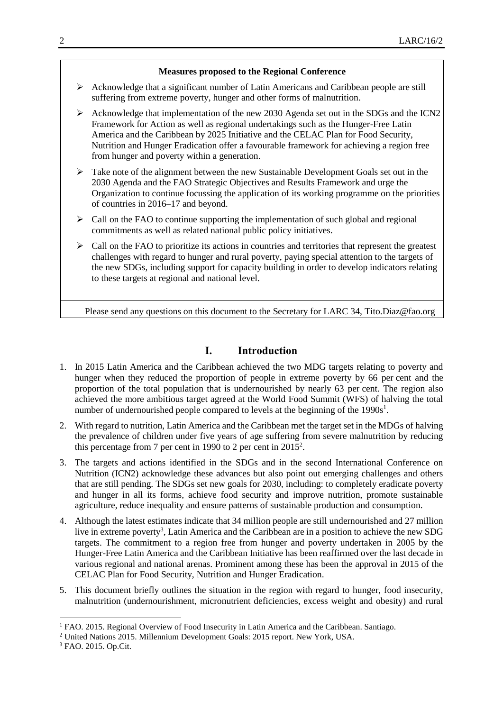#### **Measures proposed to the Regional Conference**

- $\triangleright$  Acknowledge that a significant number of Latin Americans and Caribbean people are still suffering from extreme poverty, hunger and other forms of malnutrition.
- Acknowledge that implementation of the new 2030 Agenda set out in the SDGs and the ICN2 Framework for Action as well as regional undertakings such as the Hunger-Free Latin America and the Caribbean by 2025 Initiative and the CELAC Plan for Food Security, Nutrition and Hunger Eradication offer a favourable framework for achieving a region free from hunger and poverty within a generation.
- $\triangleright$  Take note of the alignment between the new Sustainable Development Goals set out in the 2030 Agenda and the FAO Strategic Objectives and Results Framework and urge the Organization to continue focussing the application of its working programme on the priorities of countries in 2016–17 and beyond.
- $\triangleright$  Call on the FAO to continue supporting the implementation of such global and regional commitments as well as related national public policy initiatives.
- $\triangleright$  Call on the FAO to prioritize its actions in countries and territories that represent the greatest challenges with regard to hunger and rural poverty, paying special attention to the targets of the new SDGs, including support for capacity building in order to develop indicators relating to these targets at regional and national level.

Please send any questions on this document to the Secretary for LARC 34, [Tito.Diaz@fao.org](mailto:Tito.Diaz@fao.org)

## **I. Introduction**

- 1. In 2015 Latin America and the Caribbean achieved the two MDG targets relating to poverty and hunger when they reduced the proportion of people in extreme poverty by 66 per cent and the proportion of the total population that is undernourished by nearly 63 per cent. The region also achieved the more ambitious target agreed at the World Food Summit (WFS) of halving the total number of undernourished people compared to levels at the beginning of the  $1990s<sup>1</sup>$ .
- 2. With regard to nutrition, Latin America and the Caribbean met the target set in the MDGs of halving the prevalence of children under five years of age suffering from severe malnutrition by reducing this percentage from 7 per cent in 1990 to 2 per cent in  $2015^2$ .
- 3. The targets and actions identified in the SDGs and in the second International Conference on Nutrition (ICN2) acknowledge these advances but also point out emerging challenges and others that are still pending. The SDGs set new goals for 2030, including: to completely eradicate poverty and hunger in all its forms, achieve food security and improve nutrition, promote sustainable agriculture, reduce inequality and ensure patterns of sustainable production and consumption.
- 4. Although the latest estimates indicate that 34 million people are still undernourished and 27 million live in extreme poverty<sup>3</sup>, Latin America and the Caribbean are in a position to achieve the new SDG targets. The commitment to a region free from hunger and poverty undertaken in 2005 by the Hunger-Free Latin America and the Caribbean Initiative has been reaffirmed over the last decade in various regional and national arenas. Prominent among these has been the approval in 2015 of the CELAC Plan for Food Security, Nutrition and Hunger Eradication.
- 5. This document briefly outlines the situation in the region with regard to hunger, food insecurity, malnutrition (undernourishment, micronutrient deficiencies, excess weight and obesity) and rural

l

<sup>1</sup> FAO. 2015. Regional Overview of Food Insecurity in Latin America and the Caribbean. Santiago.

<sup>2</sup> United Nations 2015. Millennium Development Goals: 2015 report. New York, USA.

<sup>3</sup> FAO. 2015. Op.Cit.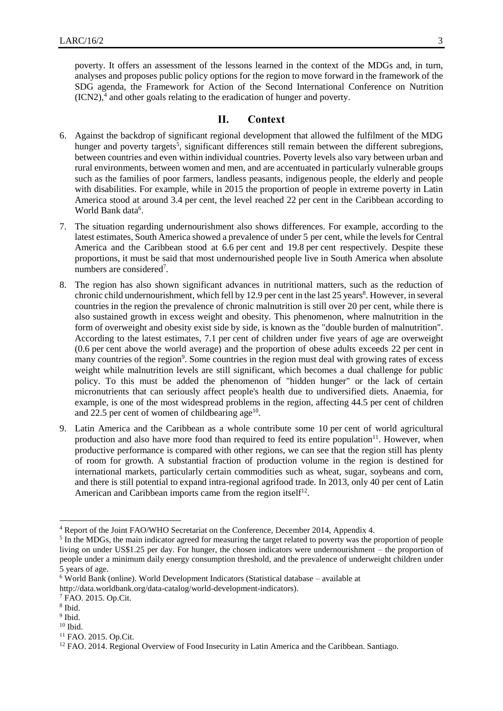poverty. It offers an assessment of the lessons learned in the context of the MDGs and, in turn, analyses and proposes public policy options for the region to move forward in the framework of the SDG agenda, the Framework for Action of the Second International Conference on Nutrition  $(ICN2)$ ,<sup>4</sup> and other goals relating to the eradication of hunger and poverty.

#### **II. Context**

- 6. Against the backdrop of significant regional development that allowed the fulfilment of the MDG hunger and poverty targets<sup>5</sup>, significant differences still remain between the different subregions, between countries and even within individual countries. Poverty levels also vary between urban and rural environments, between women and men, and are accentuated in particularly vulnerable groups such as the families of poor farmers, landless peasants, indigenous people, the elderly and people with disabilities. For example, while in 2015 the proportion of people in extreme poverty in Latin America stood at around 3.4 per cent, the level reached 22 per cent in the Caribbean according to World Bank data<sup>6</sup>.
- 7. The situation regarding undernourishment also shows differences. For example, according to the latest estimates, South America showed a prevalence of under 5 per cent, while the levels for Central America and the Caribbean stood at 6.6 per cent and 19.8 per cent respectively. Despite these proportions, it must be said that most undernourished people live in South America when absolute numbers are considered<sup>7</sup>.
- 8. The region has also shown significant advances in nutritional matters, such as the reduction of chronic child undernourishment, which fell by 12.9 per cent in the last 25 years<sup>8</sup>. However, in several countries in the region the prevalence of chronic malnutrition is still over 20 per cent, while there is also sustained growth in excess weight and obesity. This phenomenon, where malnutrition in the form of overweight and obesity exist side by side, is known as the "double burden of malnutrition". According to the latest estimates, 7.1 per cent of children under five years of age are overweight (0.6 per cent above the world average) and the proportion of obese adults exceeds 22 per cent in many countries of the region<sup>9</sup>. Some countries in the region must deal with growing rates of excess weight while malnutrition levels are still significant, which becomes a dual challenge for public policy. To this must be added the phenomenon of "hidden hunger" or the lack of certain micronutrients that can seriously affect people's health due to undiversified diets. Anaemia, for example, is one of the most widespread problems in the region, affecting 44.5 per cent of children and 22.5 per cent of women of childbearing age $10$ .
- 9. Latin America and the Caribbean as a whole contribute some 10 per cent of world agricultural production and also have more food than required to feed its entire population $11$ . However, when productive performance is compared with other regions, we can see that the region still has plenty of room for growth. A substantial fraction of production volume in the region is destined for international markets, particularly certain commodities such as wheat, sugar, soybeans and corn, and there is still potential to expand intra-regional agrifood trade. In 2013, only 40 per cent of Latin American and Caribbean imports came from the region itself<sup>12</sup>.

 $\overline{a}$ 

<sup>9</sup> Ibid.

<sup>4</sup> Report of the Joint FAO/WHO Secretariat on the Conference, December 2014, Appendix 4.

<sup>&</sup>lt;sup>5</sup> In the MDGs, the main indicator agreed for measuring the target related to poverty was the proportion of people living on under US\$1.25 per day. For hunger, the chosen indicators were undernourishment – the proportion of people under a minimum daily energy consumption threshold, and the prevalence of underweight children under 5 years of age.

 $6$  World Bank (online). World Development Indicators (Statistical database – available at

[http://data.worldbank.org/data-catalog/world-development-indicators\)](http://data.worldbank.org/data-catalog/world-development-indicators).

<sup>7</sup> FAO. 2015. Op.Cit.

<sup>8</sup> Ibid.

 $^{10}$  Ibid.

<sup>11</sup> FAO. 2015. Op.Cit.

<sup>&</sup>lt;sup>12</sup> FAO. 2014. Regional Overview of Food Insecurity in Latin America and the Caribbean. Santiago.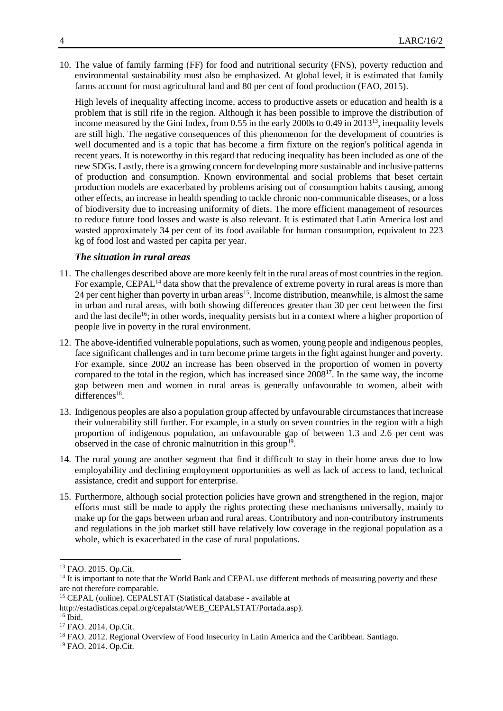10. The value of family farming (FF) for food and nutritional security (FNS), poverty reduction and environmental sustainability must also be emphasized. At global level, it is estimated that family farms account for most agricultural land and 80 per cent of food production (FAO, 2015).

High levels of inequality affecting income, access to productive assets or education and health is a problem that is still rife in the region. Although it has been possible to improve the distribution of income measured by the Gini Index, from 0.55 in the early 2000s to 0.49 in 2013<sup>13</sup>, inequality levels are still high. The negative consequences of this phenomenon for the development of countries is well documented and is a topic that has become a firm fixture on the region's political agenda in recent years. It is noteworthy in this regard that reducing inequality has been included as one of the new SDGs. Lastly, there is a growing concern for developing more sustainable and inclusive patterns of production and consumption. Known environmental and social problems that beset certain production models are exacerbated by problems arising out of consumption habits causing, among other effects, an increase in health spending to tackle chronic non-communicable diseases, or a loss of biodiversity due to increasing uniformity of diets. The more efficient management of resources to reduce future food losses and waste is also relevant. It is estimated that Latin America lost and wasted approximately 34 per cent of its food available for human consumption, equivalent to 223 kg of food lost and wasted per capita per year.

### *The situation in rural areas*

- 11. The challenges described above are more keenly felt in the rural areas of most countries in the region. For example, CEPAL<sup>14</sup> data show that the prevalence of extreme poverty in rural areas is more than 24 per cent higher than poverty in urban areas<sup>15</sup>. Income distribution, meanwhile, is almost the same in urban and rural areas, with both showing differences greater than 30 per cent between the first and the last decile<sup>16</sup>; in other words, inequality persists but in a context where a higher proportion of people live in poverty in the rural environment.
- 12. The above-identified vulnerable populations, such as women, young people and indigenous peoples, face significant challenges and in turn become prime targets in the fight against hunger and poverty. For example, since 2002 an increase has been observed in the proportion of women in poverty compared to the total in the region, which has increased since  $2008^{17}$ . In the same way, the income gap between men and women in rural areas is generally unfavourable to women, albeit with differences<sup>18</sup>.
- 13. Indigenous peoples are also a population group affected by unfavourable circumstances that increase their vulnerability still further. For example, in a study on seven countries in the region with a high proportion of indigenous population, an unfavourable gap of between 1.3 and 2.6 per cent was observed in the case of chronic malnutrition in this group<sup>19</sup>.
- 14. The rural young are another segment that find it difficult to stay in their home areas due to low employability and declining employment opportunities as well as lack of access to land, technical assistance, credit and support for enterprise.
- 15. Furthermore, although social protection policies have grown and strengthened in the region, major efforts must still be made to apply the rights protecting these mechanisms universally, mainly to make up for the gaps between urban and rural areas. Contributory and non-contributory instruments and regulations in the job market still have relatively low coverage in the regional population as a whole, which is exacerbated in the case of rural populations.

 $\overline{a}$ 

<sup>13</sup> FAO. 2015. Op.Cit.

<sup>&</sup>lt;sup>14</sup> It is important to note that the World Bank and CEPAL use different methods of measuring poverty and these are not therefore comparable.

<sup>15</sup> CEPAL (online). CEPALSTAT (Statistical database - available at

[http://estadisticas.cepal.org/cepalstat/WEB\\_CEPALSTAT/Portada.asp\)](http://estadisticas.cepal.org/cepalstat/WEB_CEPALSTAT/Portada.asp).

<sup>16</sup> Ibid.

<sup>&</sup>lt;sup>17</sup> FAO. 2014. Op.Cit.

<sup>&</sup>lt;sup>18</sup> FAO. 2012. Regional Overview of Food Insecurity in Latin America and the Caribbean. Santiago.

<sup>19</sup> FAO. 2014. Op.Cit.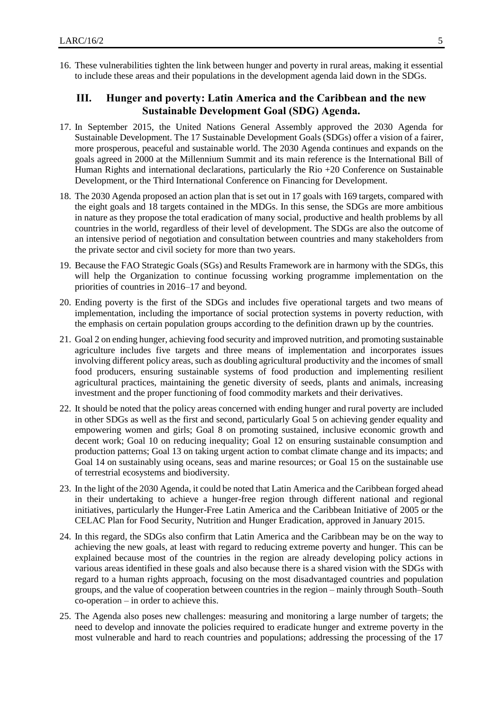16. These vulnerabilities tighten the link between hunger and poverty in rural areas, making it essential to include these areas and their populations in the development agenda laid down in the SDGs.

## **III. Hunger and poverty: Latin America and the Caribbean and the new Sustainable Development Goal (SDG) Agenda.**

- 17. In September 2015, the United Nations General Assembly approved the 2030 Agenda for Sustainable Development. The 17 Sustainable Development Goals (SDGs) offer a vision of a fairer, more prosperous, peaceful and sustainable world. The 2030 Agenda continues and expands on the goals agreed in 2000 at the Millennium Summit and its main reference is the International Bill of Human Rights and international declarations, particularly the Rio +20 Conference on Sustainable Development, or the Third International Conference on Financing for Development.
- 18. The 2030 Agenda proposed an action plan that is set out in 17 goals with 169 targets, compared with the eight goals and 18 targets contained in the MDGs. In this sense, the SDGs are more ambitious in nature as they propose the total eradication of many social, productive and health problems by all countries in the world, regardless of their level of development. The SDGs are also the outcome of an intensive period of negotiation and consultation between countries and many stakeholders from the private sector and civil society for more than two years.
- 19. Because the FAO Strategic Goals (SGs) and Results Framework are in harmony with the SDGs, this will help the Organization to continue focussing working programme implementation on the priorities of countries in 2016–17 and beyond.
- 20. Ending poverty is the first of the SDGs and includes five operational targets and two means of implementation, including the importance of social protection systems in poverty reduction, with the emphasis on certain population groups according to the definition drawn up by the countries.
- 21. Goal 2 on ending hunger, achieving food security and improved nutrition, and promoting sustainable agriculture includes five targets and three means of implementation and incorporates issues involving different policy areas, such as doubling agricultural productivity and the incomes of small food producers, ensuring sustainable systems of food production and implementing resilient agricultural practices, maintaining the genetic diversity of seeds, plants and animals, increasing investment and the proper functioning of food commodity markets and their derivatives.
- 22. It should be noted that the policy areas concerned with ending hunger and rural poverty are included in other SDGs as well as the first and second, particularly Goal 5 on achieving gender equality and empowering women and girls; Goal 8 on promoting sustained, inclusive economic growth and decent work; Goal 10 on reducing inequality; Goal 12 on ensuring sustainable consumption and production patterns; Goal 13 on taking urgent action to combat climate change and its impacts; and Goal 14 on sustainably using oceans, seas and marine resources; or Goal 15 on the sustainable use of terrestrial ecosystems and biodiversity.
- 23. In the light of the 2030 Agenda, it could be noted that Latin America and the Caribbean forged ahead in their undertaking to achieve a hunger-free region through different national and regional initiatives, particularly the Hunger-Free Latin America and the Caribbean Initiative of 2005 or the CELAC Plan for Food Security, Nutrition and Hunger Eradication, approved in January 2015.
- 24. In this regard, the SDGs also confirm that Latin America and the Caribbean may be on the way to achieving the new goals, at least with regard to reducing extreme poverty and hunger. This can be explained because most of the countries in the region are already developing policy actions in various areas identified in these goals and also because there is a shared vision with the SDGs with regard to a human rights approach, focusing on the most disadvantaged countries and population groups, and the value of cooperation between countries in the region – mainly through South–South co-operation – in order to achieve this.
- 25. The Agenda also poses new challenges: measuring and monitoring a large number of targets; the need to develop and innovate the policies required to eradicate hunger and extreme poverty in the most vulnerable and hard to reach countries and populations; addressing the processing of the 17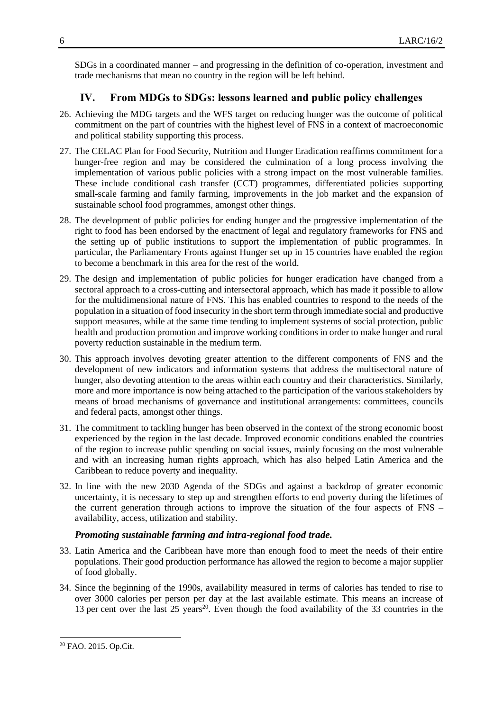SDGs in a coordinated manner – and progressing in the definition of co-operation, investment and trade mechanisms that mean no country in the region will be left behind.

## **IV. From MDGs to SDGs: lessons learned and public policy challenges**

- 26. Achieving the MDG targets and the WFS target on reducing hunger was the outcome of political commitment on the part of countries with the highest level of FNS in a context of macroeconomic and political stability supporting this process.
- 27. The CELAC Plan for Food Security, Nutrition and Hunger Eradication reaffirms commitment for a hunger-free region and may be considered the culmination of a long process involving the implementation of various public policies with a strong impact on the most vulnerable families. These include conditional cash transfer (CCT) programmes, differentiated policies supporting small-scale farming and family farming, improvements in the job market and the expansion of sustainable school food programmes, amongst other things.
- 28. The development of public policies for ending hunger and the progressive implementation of the right to food has been endorsed by the enactment of legal and regulatory frameworks for FNS and the setting up of public institutions to support the implementation of public programmes. In particular, the Parliamentary Fronts against Hunger set up in 15 countries have enabled the region to become a benchmark in this area for the rest of the world.
- 29. The design and implementation of public policies for hunger eradication have changed from a sectoral approach to a cross-cutting and intersectoral approach, which has made it possible to allow for the multidimensional nature of FNS. This has enabled countries to respond to the needs of the population in a situation of food insecurity in the short term through immediate social and productive support measures, while at the same time tending to implement systems of social protection, public health and production promotion and improve working conditions in order to make hunger and rural poverty reduction sustainable in the medium term.
- 30. This approach involves devoting greater attention to the different components of FNS and the development of new indicators and information systems that address the multisectoral nature of hunger, also devoting attention to the areas within each country and their characteristics. Similarly, more and more importance is now being attached to the participation of the various stakeholders by means of broad mechanisms of governance and institutional arrangements: committees, councils and federal pacts, amongst other things.
- 31. The commitment to tackling hunger has been observed in the context of the strong economic boost experienced by the region in the last decade. Improved economic conditions enabled the countries of the region to increase public spending on social issues, mainly focusing on the most vulnerable and with an increasing human rights approach, which has also helped Latin America and the Caribbean to reduce poverty and inequality.
- 32. In line with the new 2030 Agenda of the SDGs and against a backdrop of greater economic uncertainty, it is necessary to step up and strengthen efforts to end poverty during the lifetimes of the current generation through actions to improve the situation of the four aspects of FNS – availability, access, utilization and stability.

### *Promoting sustainable farming and intra-regional food trade.*

- 33. Latin America and the Caribbean have more than enough food to meet the needs of their entire populations. Their good production performance has allowed the region to become a major supplier of food globally.
- 34. Since the beginning of the 1990s, availability measured in terms of calories has tended to rise to over 3000 calories per person per day at the last available estimate. This means an increase of 13 per cent over the last 25 years<sup>20</sup>. Even though the food availability of the 33 countries in the

 $\overline{a}$ 

<sup>20</sup> FAO. 2015. Op.Cit.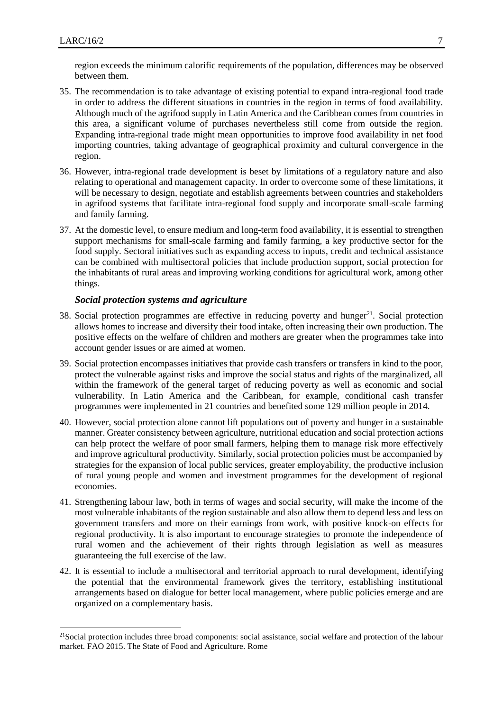l

region exceeds the minimum calorific requirements of the population, differences may be observed between them.

- 35. The recommendation is to take advantage of existing potential to expand intra-regional food trade in order to address the different situations in countries in the region in terms of food availability. Although much of the agrifood supply in Latin America and the Caribbean comes from countries in this area, a significant volume of purchases nevertheless still come from outside the region. Expanding intra-regional trade might mean opportunities to improve food availability in net food importing countries, taking advantage of geographical proximity and cultural convergence in the region.
- 36. However, intra-regional trade development is beset by limitations of a regulatory nature and also relating to operational and management capacity. In order to overcome some of these limitations, it will be necessary to design, negotiate and establish agreements between countries and stakeholders in agrifood systems that facilitate intra-regional food supply and incorporate small-scale farming and family farming.
- 37. At the domestic level, to ensure medium and long-term food availability, it is essential to strengthen support mechanisms for small-scale farming and family farming, a key productive sector for the food supply. Sectoral initiatives such as expanding access to inputs, credit and technical assistance can be combined with multisectoral policies that include production support, social protection for the inhabitants of rural areas and improving working conditions for agricultural work, among other things.

#### *Social protection systems and agriculture*

- 38. Social protection programmes are effective in reducing poverty and hunger<sup>21</sup>. Social protection allows homes to increase and diversify their food intake, often increasing their own production. The positive effects on the welfare of children and mothers are greater when the programmes take into account gender issues or are aimed at women.
- 39. Social protection encompasses initiatives that provide cash transfers or transfers in kind to the poor, protect the vulnerable against risks and improve the social status and rights of the marginalized, all within the framework of the general target of reducing poverty as well as economic and social vulnerability. In Latin America and the Caribbean, for example, conditional cash transfer programmes were implemented in 21 countries and benefited some 129 million people in 2014.
- 40. However, social protection alone cannot lift populations out of poverty and hunger in a sustainable manner. Greater consistency between agriculture, nutritional education and social protection actions can help protect the welfare of poor small farmers, helping them to manage risk more effectively and improve agricultural productivity. Similarly, social protection policies must be accompanied by strategies for the expansion of local public services, greater employability, the productive inclusion of rural young people and women and investment programmes for the development of regional economies.
- 41. Strengthening labour law, both in terms of wages and social security, will make the income of the most vulnerable inhabitants of the region sustainable and also allow them to depend less and less on government transfers and more on their earnings from work, with positive knock-on effects for regional productivity. It is also important to encourage strategies to promote the independence of rural women and the achievement of their rights through legislation as well as measures guaranteeing the full exercise of the law.
- 42. It is essential to include a multisectoral and territorial approach to rural development, identifying the potential that the environmental framework gives the territory, establishing institutional arrangements based on dialogue for better local management, where public policies emerge and are organized on a complementary basis.

<sup>&</sup>lt;sup>21</sup>Social protection includes three broad components: social assistance, social welfare and protection of the labour market. FAO 2015. The State of Food and Agriculture. Rome